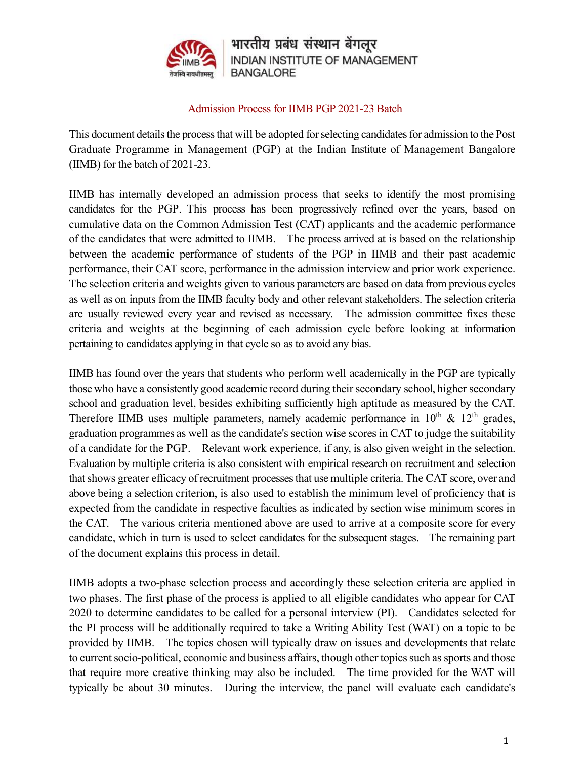

भारतीय प्रबंध संस्थान बेंगलूर **INDIAN INSTITUTE OF MANAGEMENT BANGALORE** 

## Admission Process for IIMB PGP 2021-23 Batch

This document details the process that will be adopted for selecting candidates for admission to the Post Graduate Programme in Management (PGP) at the Indian Institute of Management Bangalore (IIMB) for the batch of 2021-23.

IIMB has internally developed an admission process that seeks to identify the most promising candidates for the PGP. This process has been progressively refined over the years, based on cumulative data on the Common Admission Test (CAT) applicants and the academic performance of the candidates that were admitted to IIMB. The process arrived at is based on the relationship between the academic performance of students of the PGP in IIMB and their past academic performance, their CAT score, performance in the admission interview and prior work experience. The selection criteria and weights given to various parameters are based on data from previous cycles as well as on inputs from the IIMB faculty body and other relevant stakeholders. The selection criteria are usually reviewed every year and revised as necessary. The admission committee fixes these criteria and weights at the beginning of each admission cycle before looking at information pertaining to candidates applying in that cycle so as to avoid any bias.

IIMB has found over the years that students who perform well academically in the PGP are typically those who have a consistently good academic record during their secondary school, higher secondary school and graduation level, besides exhibiting sufficiently high aptitude as measured by the CAT. Therefore IIMB uses multiple parameters, namely academic performance in  $10^{th}$  &  $12^{th}$  grades, graduation programmes as well as the candidate's section wise scores in CAT to judge the suitability of a candidate for the PGP. Relevant work experience, if any, is also given weight in the selection. Evaluation by multiple criteria is also consistent with empirical research on recruitment and selection that shows greater efficacy of recruitment processes that use multiple criteria. The CAT score, over and above being a selection criterion, is also used to establish the minimum level of proficiency that is expected from the candidate in respective faculties as indicated by section wise minimum scores in the CAT. The various criteria mentioned above are used to arrive at a composite score for every candidate, which in turn is used to select candidates for the subsequent stages. The remaining part of the document explains this process in detail.

IIMB adopts a two-phase selection process and accordingly these selection criteria are applied in two phases. The first phase of the process is applied to all eligible candidates who appear for CAT 2020 to determine candidates to be called for a personal interview (PI). Candidates selected for the PI process will be additionally required to take a Writing Ability Test (WAT) on a topic to be provided by IIMB. The topics chosen will typically draw on issues and developments that relate to current socio-political, economic and business affairs, though other topics such as sports and those that require more creative thinking may also be included. The time provided for the WAT will typically be about 30 minutes. During the interview, the panel will evaluate each candidate's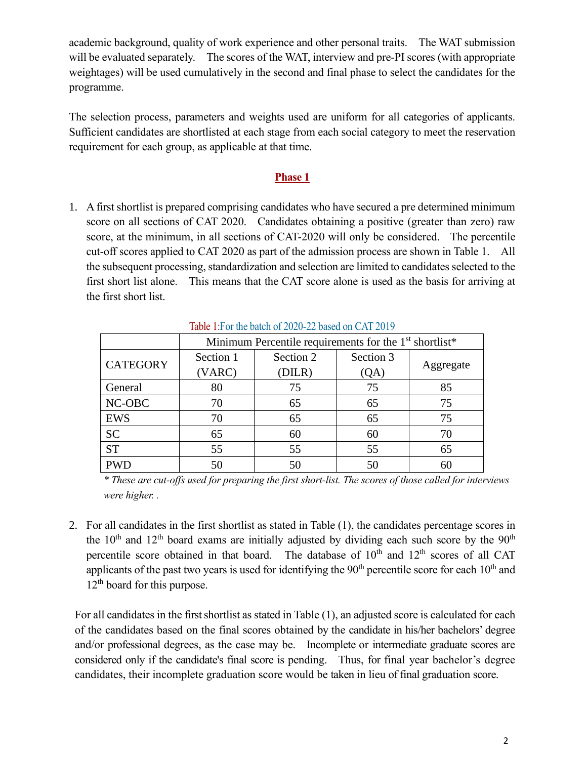academic background, quality of work experience and other personal traits. The WAT submission will be evaluated separately. The scores of the WAT, interview and pre-PI scores (with appropriate weightages) will be used cumulatively in the second and final phase to select the candidates for the programme.

The selection process, parameters and weights used are uniform for all categories of applicants. Sufficient candidates are shortlisted at each stage from each social category to meet the reservation requirement for each group, as applicable at that time.

## **Phase 1**

1. A first shortlist is prepared comprising candidates who have secured a pre determined minimum score on all sections of CAT 2020. Candidates obtaining a positive (greater than zero) raw score, at the minimum, in all sections of CAT-2020 will only be considered. The percentile cut-off scores applied to CAT 2020 as part of the admission process are shown in Table 1. All the subsequent processing, standardization and selection are limited to candidates selected to the first short list alone. This means that the CAT score alone is used as the basis for arriving at the first short list.

|                 | Minimum Percentile requirements for the 1 <sup>st</sup> shortlist* |           |           |           |
|-----------------|--------------------------------------------------------------------|-----------|-----------|-----------|
| <b>CATEGORY</b> | Section 1                                                          | Section 2 | Section 3 | Aggregate |
|                 | (VARC)                                                             | (DILR)    | (QA)      |           |
| General         | 80                                                                 | 75        | 75        | 85        |
| NC-OBC          | 70                                                                 | 65        | 65        | 75        |
| <b>EWS</b>      | 70                                                                 | 65        | 65        | 75        |
| <b>SC</b>       | 65                                                                 | 60        | 60        | 70        |
| <b>ST</b>       | 55                                                                 | 55        | 55        | 65        |
| <b>PWD</b>      | 50                                                                 | 50        | 50        |           |

Table 1:For the batch of 2020-22 based on CAT 2019

*\* These are cut-offs used for preparing the first short-list. The scores of those called for interviews were higher. .*

2. For all candidates in the first shortlist as stated in Table (1), the candidates percentage scores in the  $10<sup>th</sup>$  and  $12<sup>th</sup>$  board exams are initially adjusted by dividing each such score by the  $90<sup>th</sup>$ percentile score obtained in that board. The database of  $10<sup>th</sup>$  and  $12<sup>th</sup>$  scores of all CAT applicants of the past two years is used for identifying the  $90<sup>th</sup>$  percentile score for each  $10<sup>th</sup>$  and 12<sup>th</sup> board for this purpose.

For all candidates in the first shortlist as stated in Table  $(1)$ , an adjusted score is calculated for each of the candidates based on the final scores obtained by the candidate in his/her bachelors' degree and/or professional degrees, as the case may be. Incomplete or intermediate graduate scores are considered only if the candidate's final score is pending. Thus, for final year bachelor's degree candidates, their incomplete graduation score would be taken in lieu of final graduation score.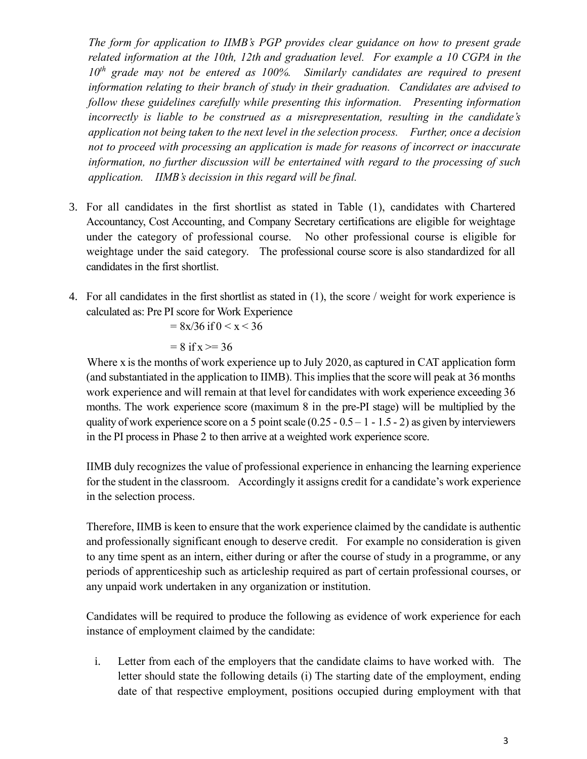*The form for application to IIMB's PGP provides clear guidance on how to present grade related information at the 10th, 12th and graduation level. For example a 10 CGPA in the 10th grade may not be entered as 100%. Similarly candidates are required to present information relating to their branch of study in their graduation. Candidates are advised to follow these guidelines carefully while presenting this information. Presenting information incorrectly is liable to be construed as a misrepresentation, resulting in the candidate's application not being taken to the next level in the selection process. Further, once a decision not to proceed with processing an application is made for reasons of incorrect or inaccurate information, no further discussion will be entertained with regard to the processing of such application. IIMB's decission in this regard will be final.*

- 3. For all candidates in the first shortlist as stated in Table (1), candidates with Chartered Accountancy, Cost Accounting, and Company Secretary certifications are eligible for weightage under the category of professional course. No other professional course is eligible for weightage under the said category. The professional course score is also standardized for all candidates in the first shortlist.
- 4. For all candidates in the first shortlist as stated in (1), the score / weight for work experience is calculated as: Pre PI score for Work Experience

$$
= 8x/36 \text{ if } 0 < x < 36
$$

$$
= 8 \text{ if } x \geq 36
$$

Where x is the months of work experience up to July 2020, as captured in CAT application form (and substantiated in the application to IIMB). This implies that the score will peak at 36 months work experience and will remain at that level for candidates with work experience exceeding 36 months. The work experience score (maximum 8 in the pre-PI stage) will be multiplied by the quality of work experience score on a 5 point scale  $(0.25 - 0.5 - 1 - 1.5 - 2)$  as given by interviewers in the PI processin Phase 2 to then arrive at a weighted work experience score.

IIMB duly recognizes the value of professional experience in enhancing the learning experience for the student in the classroom. Accordingly it assigns credit for a candidate's work experience in the selection process.

Therefore, IIMB is keen to ensure that the work experience claimed by the candidate is authentic and professionally significant enough to deserve credit. For example no consideration is given to any time spent as an intern, either during or after the course of study in a programme, or any periods of apprenticeship such as articleship required as part of certain professional courses, or any unpaid work undertaken in any organization or institution.

Candidates will be required to produce the following as evidence of work experience for each instance of employment claimed by the candidate:

i. Letter from each of the employers that the candidate claims to have worked with. The letter should state the following details (i) The starting date of the employment, ending date of that respective employment, positions occupied during employment with that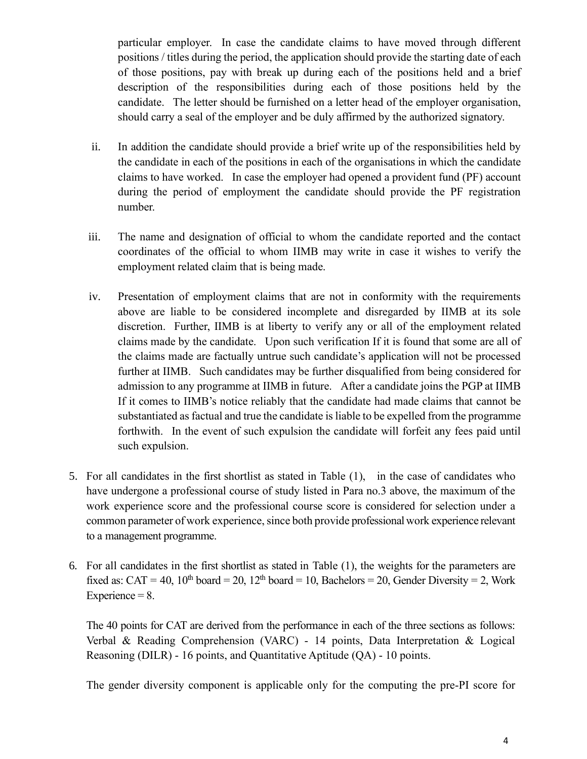particular employer. In case the candidate claims to have moved through different positions / titles during the period, the application should provide the starting date of each of those positions, pay with break up during each of the positions held and a brief description of the responsibilities during each of those positions held by the candidate. The letter should be furnished on a letter head of the employer organisation, should carry a seal of the employer and be duly affirmed by the authorized signatory.

- ii. In addition the candidate should provide a brief write up of the responsibilities held by the candidate in each of the positions in each of the organisations in which the candidate claims to have worked. In case the employer had opened a provident fund (PF) account during the period of employment the candidate should provide the PF registration number.
- iii. The name and designation of official to whom the candidate reported and the contact coordinates of the official to whom IIMB may write in case it wishes to verify the employment related claim that is being made.
- iv. Presentation of employment claims that are not in conformity with the requirements above are liable to be considered incomplete and disregarded by IIMB at its sole discretion. Further, IIMB is at liberty to verify any or all of the employment related claims made by the candidate. Upon such verification If it is found that some are all of the claims made are factually untrue such candidate's application will not be processed further at IIMB. Such candidates may be further disqualified from being considered for admission to any programme at IIMB in future. After a candidate joins the PGP at IIMB If it comes to IIMB's notice reliably that the candidate had made claims that cannot be substantiated as factual and true the candidate is liable to be expelled from the programme forthwith. In the event of such expulsion the candidate will forfeit any fees paid until such expulsion.
- 5. For all candidates in the first shortlist as stated in Table (1), in the case of candidates who have undergone a professional course of study listed in Para no.3 above, the maximum of the work experience score and the professional course score is considered for selection under a common parameter of work experience, since both provide professional work experience relevant to a management programme.
- 6. For all candidates in the first shortlist as stated in Table (1), the weights for the parameters are fixed as: CAT = 40, 10<sup>th</sup> board = 20, 12<sup>th</sup> board = 10, Bachelors = 20, Gender Diversity = 2, Work Experience  $= 8$ .

The 40 points for CAT are derived from the performance in each of the three sections as follows: Verbal & Reading Comprehension (VARC) - 14 points, Data Interpretation & Logical Reasoning (DILR) - 16 points, and Quantitative Aptitude (QA) - 10 points.

The gender diversity component is applicable only for the computing the pre-PI score for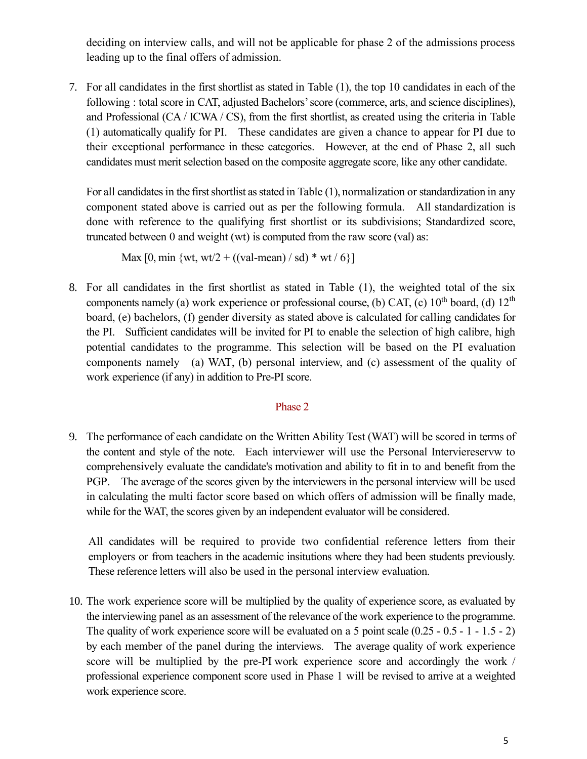deciding on interview calls, and will not be applicable for phase 2 of the admissions process leading up to the final offers of admission.

7. For all candidates in the first shortlist as stated in Table (1), the top 10 candidates in each of the following : total score in CAT, adjusted Bachelors'score (commerce, arts, and science disciplines), and Professional (CA / ICWA / CS), from the first shortlist, as created using the criteria in Table (1) automatically qualify for PI. These candidates are given a chance to appear for PI due to their exceptional performance in these categories. However, at the end of Phase 2, all such candidates must merit selection based on the composite aggregate score, like any other candidate.

For all candidates in the first shortlist as stated in Table (1), normalization or standardization in any component stated above is carried out as per the following formula. All standardization is done with reference to the qualifying first shortlist or its subdivisions; Standardized score, truncated between 0 and weight (wt) is computed from the raw score (val) as:

Max  $[0, \text{min } \{ \text{wt}, \text{wt}/2 + ((\text{val-mean}) / \text{sd}) * \text{wt} / 6 \}]$ 

8. For all candidates in the first shortlist as stated in Table (1), the weighted total of the six components namely (a) work experience or professional course, (b) CAT, (c)  $10^{th}$  board, (d)  $12^{th}$ board, (e) bachelors, (f) gender diversity as stated above is calculated for calling candidates for the PI. Sufficient candidates will be invited for PI to enable the selection of high calibre, high potential candidates to the programme. This selection will be based on the PI evaluation components namely (a) WAT, (b) personal interview, and (c) assessment of the quality of work experience (if any) in addition to Pre-PI score.

## Phase 2

9. The performance of each candidate on the Written Ability Test (WAT) will be scored in terms of the content and style of the note. Each interviewer will use the Personal Interviereservw to comprehensively evaluate the candidate's motivation and ability to fit in to and benefit from the PGP. The average of the scores given by the interviewers in the personal interview will be used in calculating the multi factor score based on which offers of admission will be finally made, while for the WAT, the scores given by an independent evaluator will be considered.

All candidates will be required to provide two confidential reference letters from their employers or from teachers in the academic insitutions where they had been students previously. These reference letters will also be used in the personal interview evaluation.

10. The work experience score will be multiplied by the quality of experience score, as evaluated by the interviewing panel as an assessment of the relevance of the work experience to the programme. The quality of work experience score will be evaluated on a 5 point scale (0.25 - 0.5 - 1 - 1.5 - 2) by each member of the panel during the interviews. The average quality of work experience score will be multiplied by the pre-PI work experience score and accordingly the work / professional experience component score used in Phase 1 will be revised to arrive at a weighted work experience score.